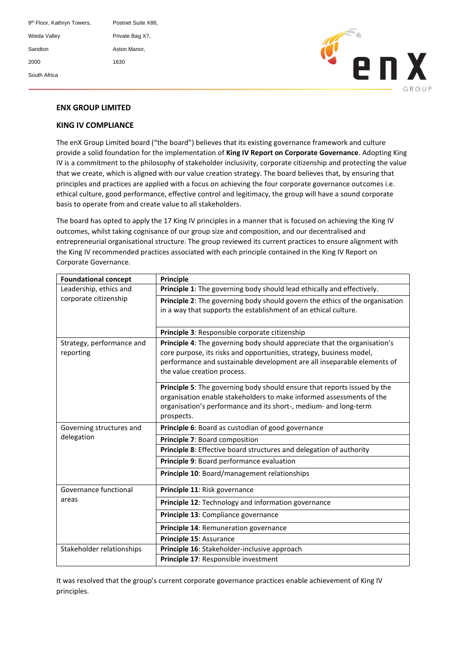| 9 <sup>th</sup> Floor, Kathryn Towers, | Postnet Suite X86. |
|----------------------------------------|--------------------|
| Wieda Valley                           | Private Bag X7,    |
| Sandton                                | Aston Manor,       |
| 2000                                   | 1630               |
| South Africa                           |                    |



# **ENX GROUP LIMITED**

### **KING IV COMPLIANCE**

The enX Group Limited board ("the board") believes that its existing governance framework and culture provide a solid foundation for the implementation of **King IV Report on Corporate Governance**. Adopting King IV is a commitment to the philosophy of stakeholder inclusivity, corporate citizenship and protecting the value that we create, which is aligned with our value creation strategy. The board believes that, by ensuring that principles and practices are applied with a focus on achieving the four corporate governance outcomes i.e. ethical culture, good performance, effective control and legitimacy, the group will have a sound corporate basis to operate from and create value to all stakeholders.

The board has opted to apply the 17 King IV principles in a manner that is focused on achieving the King IV outcomes, whilst taking cognisance of our group size and composition, and our decentralised and entrepreneurial organisational structure. The group reviewed its current practices to ensure alignment with the King IV recommended practices associated with each principle contained in the King IV Report on Corporate Governance.

| <b>Foundational concept</b> | <b>Principle</b>                                                             |
|-----------------------------|------------------------------------------------------------------------------|
| Leadership, ethics and      | Principle 1: The governing body should lead ethically and effectively.       |
| corporate citizenship       | Principle 2: The governing body should govern the ethics of the organisation |
|                             | in a way that supports the establishment of an ethical culture.              |
|                             |                                                                              |
|                             | Principle 3: Responsible corporate citizenship                               |
| Strategy, performance and   | Principle 4: The governing body should appreciate that the organisation's    |
| reporting                   | core purpose, its risks and opportunities, strategy, business model,         |
|                             | performance and sustainable development are all inseparable elements of      |
|                             | the value creation process.                                                  |
|                             | Principle 5: The governing body should ensure that reports issued by the     |
|                             | organisation enable stakeholders to make informed assessments of the         |
|                             | organisation's performance and its short-, medium- and long-term             |
|                             | prospects.                                                                   |
| Governing structures and    | Principle 6: Board as custodian of good governance                           |
| delegation                  | Principle 7: Board composition                                               |
|                             | Principle 8: Effective board structures and delegation of authority          |
|                             | Principle 9: Board performance evaluation                                    |
|                             | Principle 10: Board/management relationships                                 |
| Governance functional       | Principle 11: Risk governance                                                |
| areas                       | Principle 12: Technology and information governance                          |
|                             | Principle 13: Compliance governance                                          |
|                             | Principle 14: Remuneration governance                                        |
|                             | Principle 15: Assurance                                                      |
| Stakeholder relationships   | Principle 16: Stakeholder-inclusive approach                                 |
|                             | Principle 17: Responsible investment                                         |

It was resolved that the group's current corporate governance practices enable achievement of King IV principles.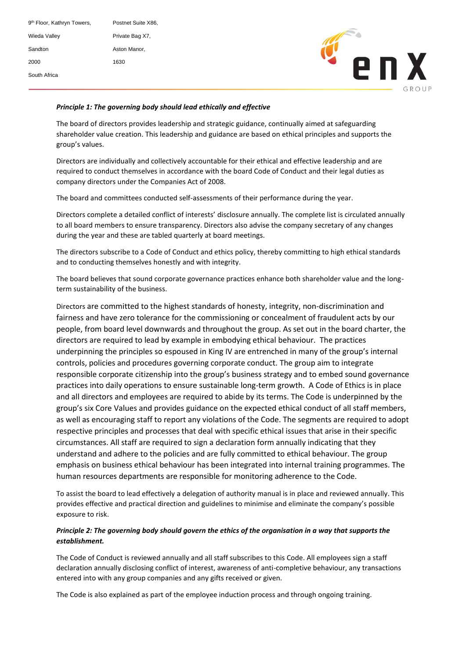| 9 <sup>th</sup> Floor, Kathryn Towers, | Postnet Suite X86, |
|----------------------------------------|--------------------|
| Wieda Valley                           | Private Bag X7,    |
| Sandton                                | Aston Manor,       |
| 2000                                   | 1630               |
| South Africa                           |                    |



# Principle 1: The governing body should lead ethically and effective

The board of directors provides leadership and strategic guidance, continually aimed at safeguarding shareholder value creation. This leadership and guidance are based on ethical principles and supports the group's values.

Directors are individually and collectively accountable for their ethical and effective leadership and are required to conduct themselves in accordance with the board Code of Conduct and their legal duties as company directors under the Companies Act of 2008.

The board and committees conducted self-assessments of their performance during the year.

Directors complete a detailed conflict of interests' disclosure annually. The complete list is circulated annually to all board members to ensure transparency. Directors also advise the company secretary of any changes during the year and these are tabled quarterly at board meetings.

The directors subscribe to a Code of Conduct and ethics policy, thereby committing to high ethical standards and to conducting themselves honestly and with integrity.

The board believes that sound corporate governance practices enhance both shareholder value and the longterm sustainability of the business.

Directors are committed to the highest standards of honesty, integrity, non-discrimination and fairness and have zero tolerance for the commissioning or concealment of fraudulent acts by our people, from board level downwards and throughout the group. As set out in the board charter, the directors are required to lead by example in embodying ethical behaviour. The practices underpinning the principles so espoused in King IV are entrenched in many of the group's internal controls, policies and procedures governing corporate conduct. The group aim to integrate responsible corporate citizenship into the group's business strategy and to embed sound governance practices into daily operations to ensure sustainable long-term growth. A Code of Ethics is in place and all directors and employees are required to abide by its terms. The Code is underpinned by the group's six Core Values and provides guidance on the expected ethical conduct of all staff members, as well as encouraging staff to report any violations of the Code. The segments are required to adopt respective principles and processes that deal with specific ethical issues that arise in their specific circumstances. All staff are required to sign a declaration form annually indicating that they understand and adhere to the policies and are fully committed to ethical behaviour. The group emphasis on business ethical behaviour has been integrated into internal training programmes. The human resources departments are responsible for monitoring adherence to the Code.

To assist the board to lead effectively a delegation of authority manual is in place and reviewed annually. This provides effective and practical direction and guidelines to minimise and eliminate the company's possible exposure to risk.

### *Principle 2: The governing body should govern the ethics of the organisation in a way that supports the establishment.*

The Code of Conduct is reviewed annually and all staff subscribes to this Code. All employees sign a staff declaration annually disclosing conflict of interest, awareness of anti-completive behaviour, any transactions entered into with any group companies and any gifts received or given.

The Code is also explained as part of the employee induction process and through ongoing training.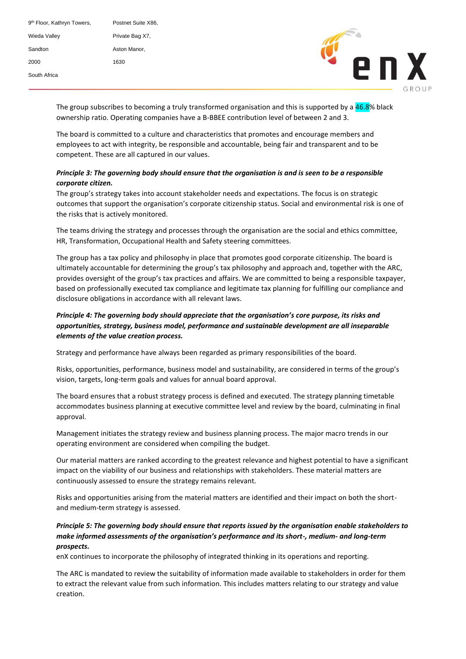| 9 <sup>th</sup> Floor, Kathryn Towers, | Postnet Suite X86. |
|----------------------------------------|--------------------|
| Wieda Valley                           | Private Bag X7,    |
| Sandton                                | Aston Manor,       |
| 2000                                   | 1630               |
| South Africa                           |                    |



The group subscribes to becoming a truly transformed organisation and this is supported by a <mark>46.8</mark>% black ownership ratio. Operating companies have a B-BBEE contribution level of between 2 and 3.

The board is committed to a culture and characteristics that promotes and encourage members and employees to act with integrity, be responsible and accountable, being fair and transparent and to be competent. These are all captured in our values.

### *Principle 3: The governing body should ensure that the organisation is and is seen to be a responsible corporate citizen.*

The group's strategy takes into account stakeholder needs and expectations. The focus is on strategic outcomes that support the organisation's corporate citizenship status. Social and environmental risk is one of the risks that is actively monitored.

The teams driving the strategy and processes through the organisation are the social and ethics committee, HR, Transformation, Occupational Health and Safety steering committees.

The group has a tax policy and philosophy in place that promotes good corporate citizenship. The board is ultimately accountable for determining the group's tax philosophy and approach and, together with the ARC, provides oversight of the group's tax practices and affairs. We are committed to being a responsible taxpayer, based on professionally executed tax compliance and legitimate tax planning for fulfilling our compliance and disclosure obligations in accordance with all relevant laws.

### *Principle 4: The governing body should appreciate that the organisation's core purpose, its risks and opportunities, strategy, business model, performance and sustainable development are all inseparable elements of the value creation process.*

Strategy and performance have always been regarded as primary responsibilities of the board.

Risks, opportunities, performance, business model and sustainability, are considered in terms of the group's vision, targets, long-term goals and values for annual board approval.

The board ensures that a robust strategy process is defined and executed. The strategy planning timetable accommodates business planning at executive committee level and review by the board, culminating in final approval.

Management initiates the strategy review and business planning process. The major macro trends in our operating environment are considered when compiling the budget.

Our material matters are ranked according to the greatest relevance and highest potential to have a significant impact on the viability of our business and relationships with stakeholders. These material matters are continuously assessed to ensure the strategy remains relevant.

Risks and opportunities arising from the material matters are identified and their impact on both the shortand medium-term strategy is assessed.

### *Principle 5: The governing body should ensure that reports issued by the organisation enable stakeholders to make informed assessments of the organisation's performance and its short-, medium- and long-term prospects.*

enX continues to incorporate the philosophy of integrated thinking in its operations and reporting.

The ARC is mandated to review the suitability of information made available to stakeholders in order for them to extract the relevant value from such information. This includes matters relating to our strategy and value creation.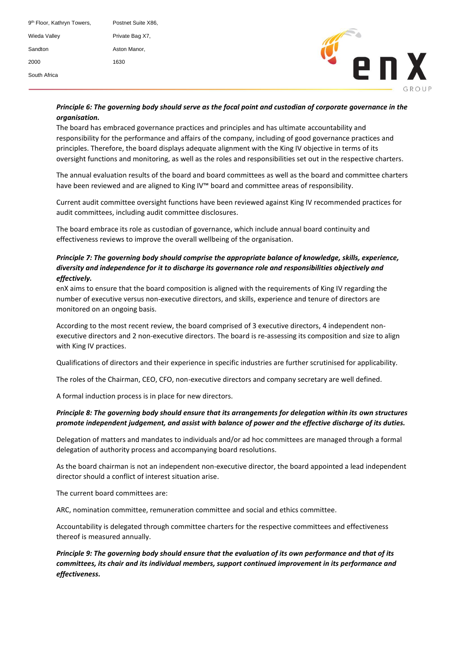| 9 <sup>th</sup> Floor, Kathryn Towers, | Postnet Suite X86, |
|----------------------------------------|--------------------|
| Wieda Valley                           | Private Bag X7.    |
| Sandton                                | Aston Manor.       |
| 2000                                   | 1630               |
| South Africa                           |                    |



## Principle 6: The governing body should serve as the focal point and custodian of corporate governance in the  $organisation.$

The board has embraced governance practices and principles and has ultimate accountability and responsibility for the performance and affairs of the company, including of good governance practices and principles. Therefore, the board displays adequate alignment with the King IV objective in terms of its oversight functions and monitoring, as well as the roles and responsibilities set out in the respective charters.

The annual evaluation results of the board and board committees as well as the board and committee charters have been reviewed and are aligned to King IV™ board and committee areas of responsibility.

Current audit committee oversight functions have been reviewed against King IV recommended practices for audit committees, including audit committee disclosures.

The board embrace its role as custodian of governance, which include annual board continuity and effectiveness reviews to improve the overall wellbeing of the organisation.

### *Principle 7: The governing body should comprise the appropriate balance of knowledge, skills, experience, diversity and independence for it to discharge its governance role and responsibilities objectively and effectively.*

enX aims to ensure that the board composition is aligned with the requirements of King IV regarding the number of executive versus non-executive directors, and skills, experience and tenure of directors are monitored on an ongoing basis.

According to the most recent review, the board comprised of 3 executive directors, 4 independent nonexecutive directors and 2 non-executive directors. The board is re-assessing its composition and size to align with King IV practices.

Qualifications of directors and their experience in specific industries are further scrutinised for applicability.

The roles of the Chairman, CEO, CFO, non-executive directors and company secretary are well defined.

A formal induction process is in place for new directors.

### *Principle 8: The governing body should ensure that its arrangements for delegation within its own structures promote independent judgement, and assist with balance of power and the effective discharge of its duties.*

Delegation of matters and mandates to individuals and/or ad hoc committees are managed through a formal delegation of authority process and accompanying board resolutions.

As the board chairman is not an independent non-executive director, the board appointed a lead independent director should a conflict of interest situation arise.

The current board committees are:

ARC, nomination committee, remuneration committee and social and ethics committee.

Accountability is delegated through committee charters for the respective committees and effectiveness thereof is measured annually.

*Principle 9: The governing body should ensure that the evaluation of its own performance and that of its committees, its chair and its individual members, support continued improvement in its performance and effectiveness.*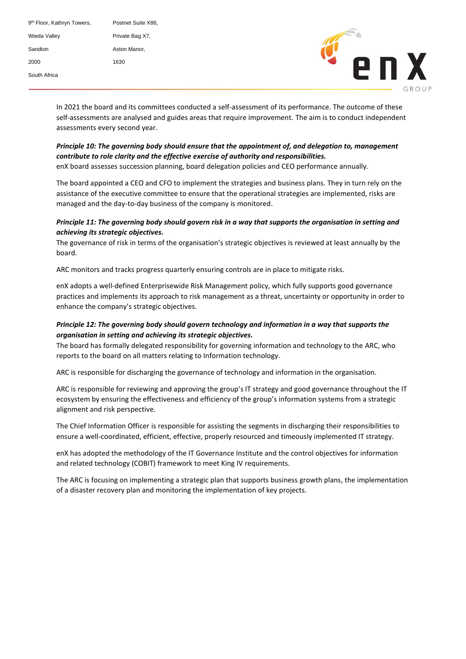| 9 <sup>th</sup> Floor, Kathryn Towers, | Postnet Suite X86. |
|----------------------------------------|--------------------|
| Wieda Valley                           | Private Bag X7,    |
| Sandton                                | Aston Manor.       |
| 2000                                   | 1630               |
| South Africa                           |                    |



In 2021 the board and its committees conducted a self-assessment of its performance. The outcome of these self-assessments are analysed and guides areas that require improvement. The aim is to conduct independent assessments every second year.

### *Principle 10: The governing body should ensure that the appointment of, and delegation to, management contribute to role clarity and the effective exercise of authority and responsibilities.*

enX board assesses succession planning, board delegation policies and CEO performance annually.

The board appointed a CEO and CFO to implement the strategies and business plans. They in turn rely on the assistance of the executive committee to ensure that the operational strategies are implemented, risks are managed and the day-to-day business of the company is monitored.

### *Principle 11: The governing body should govern risk in a way that supports the organisation in setting and achieving its strategic objectives.*

The governance of risk in terms of the organisation's strategic objectives is reviewed at least annually by the board.

ARC monitors and tracks progress quarterly ensuring controls are in place to mitigate risks.

enX adopts a well-defined Enterprisewide Risk Management policy, which fully supports good governance practices and implements its approach to risk management as a threat, uncertainty or opportunity in order to enhance the company's strategic objectives.

### *Principle 12: The governing body should govern technology and information in a way that supports the organisation in setting and achieving its strategic objectives.*

The board has formally delegated responsibility for governing information and technology to the ARC, who reports to the board on all matters relating to Information technology.

ARC is responsible for discharging the governance of technology and information in the organisation.

ARC is responsible for reviewing and approving the group's IT strategy and good governance throughout the IT ecosystem by ensuring the effectiveness and efficiency of the group's information systems from a strategic alignment and risk perspective.

The Chief Information Officer is responsible for assisting the segments in discharging their responsibilities to ensure a well-coordinated, efficient, effective, properly resourced and timeously implemented IT strategy.

enX has adopted the methodology of the IT Governance Institute and the control objectives for information and related technology (COBIT) framework to meet King IV requirements.

The ARC is focusing on implementing a strategic plan that supports business growth plans, the implementation of a disaster recovery plan and monitoring the implementation of key projects.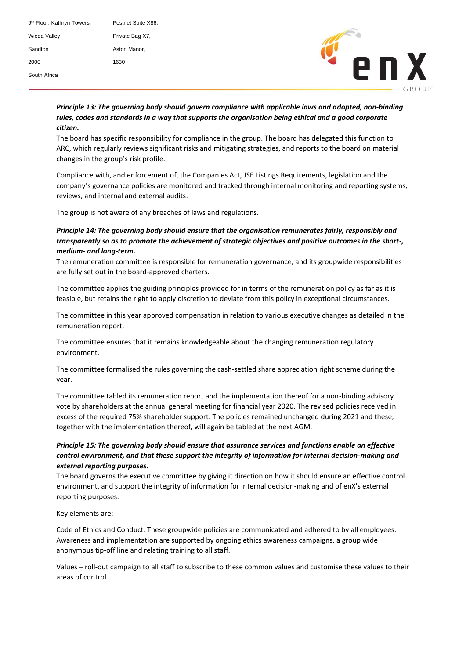| 9 <sup>th</sup> Floor, Kathryn Towers, | Postnet Suite X86, |
|----------------------------------------|--------------------|
| Wieda Valley                           | Private Bag X7.    |
| Sandton                                | Aston Manor,       |
| 2000                                   | 1630               |
| South Africa                           |                    |



## Principle 13: The governing body should govern compliance with applicable laws and adopted, non-binding rules, codes and standards in a way that supports the organisation being ethical and a good corporate www.enxgroup.co.za *citizen.*

The board has specific responsibility for compliance in the group. The board has delegated this function to ARC, which regularly reviews significant risks and mitigating strategies, and reports to the board on material changes in the group's risk profile.

Compliance with, and enforcement of, the Companies Act, JSE Listings Requirements, legislation and the company's governance policies are monitored and tracked through internal monitoring and reporting systems, reviews, and internal and external audits.

The group is not aware of any breaches of laws and regulations.

### *Principle 14: The governing body should ensure that the organisation remunerates fairly, responsibly and transparently so as to promote the achievement of strategic objectives and positive outcomes in the short-, medium- and long-term.*

The remuneration committee is responsible for remuneration governance, and its groupwide responsibilities are fully set out in the board-approved charters.

The committee applies the guiding principles provided for in terms of the remuneration policy as far as it is feasible, but retains the right to apply discretion to deviate from this policy in exceptional circumstances.

The committee in this year approved compensation in relation to various executive changes as detailed in the remuneration report.

The committee ensures that it remains knowledgeable about the changing remuneration regulatory environment.

The committee formalised the rules governing the cash-settled share appreciation right scheme during the year.

The committee tabled its remuneration report and the implementation thereof for a non-binding advisory vote by shareholders at the annual general meeting for financial year 2020. The revised policies received in excess of the required 75% shareholder support. The policies remained unchanged during 2021 and these, together with the implementation thereof, will again be tabled at the next AGM.

### *Principle 15: The governing body should ensure that assurance services and functions enable an effective control environment, and that these support the integrity of information for internal decision-making and external reporting purposes.*

The board governs the executive committee by giving it direction on how it should ensure an effective control environment, and support the integrity of information for internal decision-making and of enX's external reporting purposes.

#### Key elements are:

Code of Ethics and Conduct. These groupwide policies are communicated and adhered to by all employees. Awareness and implementation are supported by ongoing ethics awareness campaigns, a group wide anonymous tip-off line and relating training to all staff.

Values – roll-out campaign to all staff to subscribe to these common values and customise these values to their areas of control.